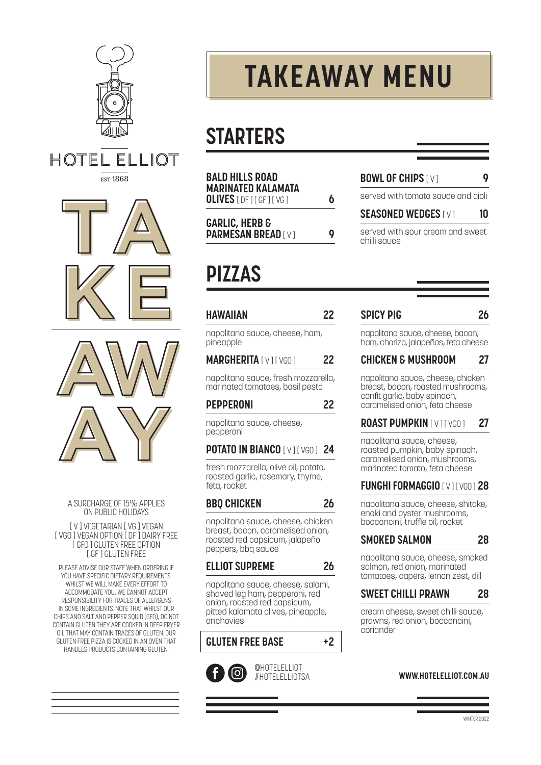

**HOTEL** ELLIOT **EST 1868** 





A SURCHARGE OF 15% APPLIES ON PUBLIC HOLIDAYS

[ V ] VEGETARIAN [ VG ] VEGAN [ VGO ] VEGAN OPTION [ DF ] DAIRY FREE [ GFO ] GLUTEN FREE OPTION [ GF ] GLUTEN FREE

PLEASE ADVISE OUR STAFF WHEN ORDERING IF YOU HAVE SPECIFIC DIETARY REQUIREMENTS. WHILST WE WILL MAKE EVERY FFFORT TO ACCOMMODATE YOU, WE CANNOT ACCEPT RESPONSIBILITY FOR TRACES OF ALLERGENS IN SOME INGREDIENTS. NOTE THAT WHILST OUR CHIPS AND SALT AND PEPPER SQUID (GFO), DO NOT CONTAIN GLUTEN THEY ARE COOKED IN DEEP FRYER OIL THAT MAY CONTAIN TRACES OF GLUTEN. OUR GLUTEN FREE PIZZA IS COOKED IN AN OVEN THAT HANDLES PRODUCTS CONTAINING GLUTEN.

# **TAKEAWAY MENU**

# **STARTERS**

| <b>BALD HILLS ROAD</b><br><b>MARINATED KALAMATA</b><br><b>OLIVES</b> [ DF 1 [ GF 1 [ VG 1 | h |
|-------------------------------------------------------------------------------------------|---|
| <b>GARLIC, HERB &amp;</b><br><b>PARMESAN BREAD [V]</b>                                    | O |

**BOWL OF CHIPS**  $\begin{bmatrix} \vee \\ \vee \end{bmatrix}$  **9** 

served with tomato sauce and aioli

### **SEASONED WEDGES** [ V ] **10**

served with sour cream and sweet chilli sauce

## **PIZZAS**

### **HAWAIIAN 22**

napolitana sauce, cheese, ham, pineapple

### **MARGHERITA** [ V ] [ VGO ] 22

napolitana sauce, fresh mozzarella, marinated tomatoes, basil pesto

### **PEPPERONI 22**

napolitana sauce, cheese, pepperoni

### **POTATO IN BIANCO** [ V ] [ VGO ] **24**

fresh mozzarella, olive oil, potato, roasted garlic, rosemary, thyme, feta, rocket

### **BBQ CHICKEN 26**

napolitana sauce, cheese, chicken breast, bacon, caramelised onion, roasted red capsicum, jalapeño peppers, bbq sauce

### **ELLIOT SUPREME 26**

napolitana sauce, cheese, salami, shaved leg ham, pepperoni, red onion, roasted red capsicum, pitted kalamata olives, pineapple, anchovies

### **GLUTEN FREE BASE +2**



@HOTELELLIOT #HOTELELLIOTSA

### **SPICY PIG 26**

napolitana sauce, cheese, bacon, ham, chorizo, jalapeños, feta cheese

### **CHICKEN & MUSHROOM 27**

napolitana sauce, cheese, chicken breast, bacon, roasted mushrooms, confit garlic, baby spinach, caramelised onion, feta cheese

### **ROAST PUMPKIN [ V ] [ VGO ] 27**

napolitana sauce, cheese, roasted pumpkin, baby spinach, caramelised onion, mushrooms, marinated tomato, feta cheese

### **FUNGHI FORMAGGIO [ V ] [ VGO ] 28**

napolitana sauce, cheese, shitake, enoki and oyster mushrooms, bocconcini, truffle oil, rocket

### **SMOKED SALMON 28**

napolitana sauce, cheese, smoked salmon, red onion, marinated tomatoes, capers, lemon zest, dill

### **SWEET CHILLI PRAWN 28**

cream cheese, sweet chilli sauce, prawns, red onion, bocconcini, coriander

### **WWW.HOTELELLIOT.COM.AU**